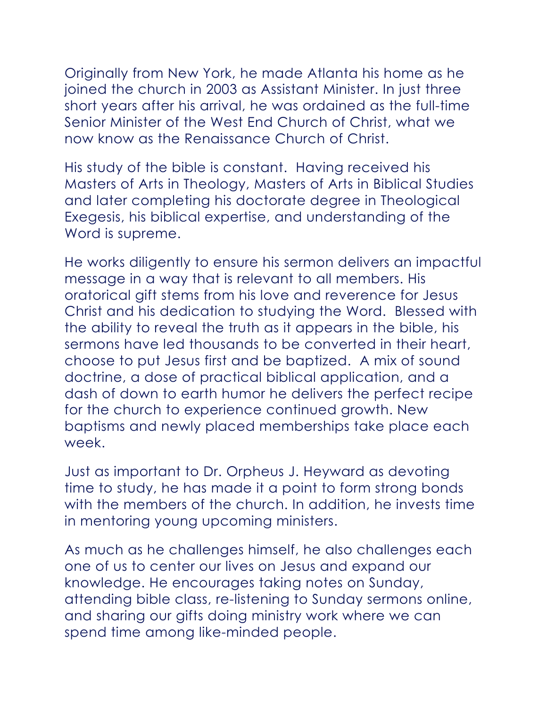Originally from New York, he made Atlanta his home as he joined the church in 2003 as Assistant Minister. In just three short years after his arrival, he was ordained as the full-time Senior Minister of the West End Church of Christ, what we now know as the Renaissance Church of Christ.

His study of the bible is constant. Having received his Masters of Arts in Theology, Masters of Arts in Biblical Studies and later completing his doctorate degree in Theological Exegesis, his biblical expertise, and understanding of the Word is supreme.

He works diligently to ensure his sermon delivers an impactful message in a way that is relevant to all members. His oratorical gift stems from his love and reverence for Jesus Christ and his dedication to studying the Word. Blessed with the ability to reveal the truth as it appears in the bible, his sermons have led thousands to be converted in their heart, choose to put Jesus first and be baptized. A mix of sound doctrine, a dose of practical biblical application, and a dash of down to earth humor he delivers the perfect recipe for the church to experience continued growth. New baptisms and newly placed memberships take place each week.

Just as important to Dr. Orpheus J. Heyward as devoting time to study, he has made it a point to form strong bonds with the members of the church. In addition, he invests time in mentoring young upcoming ministers.

As much as he challenges himself, he also challenges each one of us to center our lives on Jesus and expand our knowledge. He encourages taking notes on Sunday, attending bible class, re-listening to Sunday sermons online, and sharing our gifts doing ministry work where we can spend time among like-minded people.